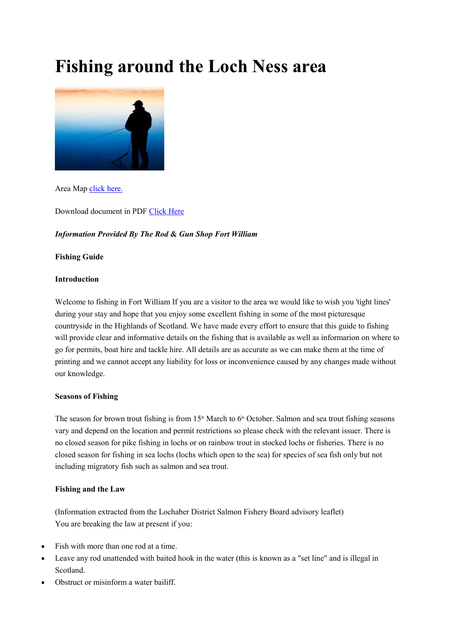# **Fishing around the Loch Ness area**



Area Map click here.

Download document in PDF Click Here

## *Information Provided By The Rod* **&** *Gun Shop Fort William*

## **Fishing Guide**

## **Introduction**

Welcome to fishing in Fort William If you are a visitor to the area we would like to wish you 'tight lines' during your stay and hope that you enjoy some excellent fishing in some of the most picturesque countryside in the Highlands of Scotland. We have made every effort to ensure that this guide to fishing will provide clear and informative details on the fishing that is available as well as informarion on where to go for permits, boat hire and tackle hire. All details are as accurate as we can make them at the time of printing and we cannot accept any liability for loss or inconvenience caused by any changes made without our knowledge.

## **Seasons of Fishing**

The season for brown trout fishing is from  $15<sup>th</sup>$  March to  $6<sup>th</sup>$  October. Salmon and sea trout fishing seasons vary and depend on the location and permit restrictions so please check with the relevant issuer. There is no closed season for pike fishing in lochs or on rainbow trout in stocked lochs or fisheries. There is no closed season for fishing in sea lochs (lochs which open to the sea) for species of sea fish only but not including migratory fish such as salmon and sea trout.

## **Fishing and the Law**

(Information extracted from the Lochaber District Salmon Fishery Board advisory leaflet) You are breaking the law at present if you:

- Fish with more than one rod at a time.
- Leave any rod unattended with baited hook in the water (this is known as a "set line" and is illegal in Scotland.
- Obstruct or misinform a water bailiff.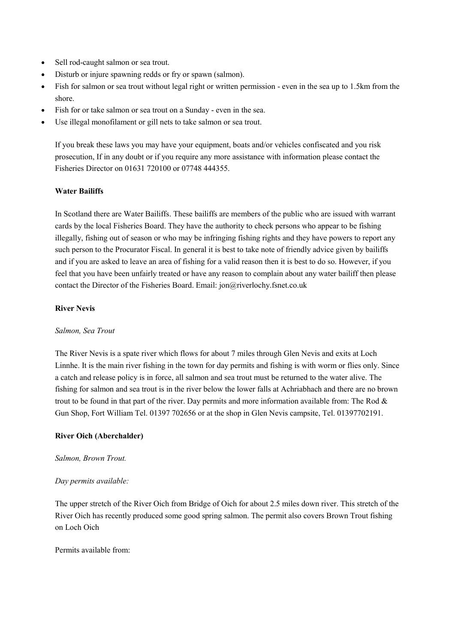- Sell rod-caught salmon or sea trout.
- Disturb or injure spawning redds or fry or spawn (salmon).
- Fish for salmon or sea trout without legal right or written permission even in the sea up to 1.5km from the shore.
- Fish for or take salmon or sea trout on a Sunday even in the sea.
- Use illegal monofilament or gill nets to take salmon or sea trout.

If you break these laws you may have your equipment, boats and/or vehicles confiscated and you risk prosecution, If in any doubt or if you require any more assistance with information please contact the Fisheries Director on 01631 720100 or 07748 444355.

## **Water Bailiffs**

In Scotland there are Water Bailiffs. These bailiffs are members of the public who are issued with warrant cards by the local Fisheries Board. They have the authority to check persons who appear to be fishing illegally, fishing out of season or who may be infringing fishing rights and they have powers to report any such person to the Procurator Fiscal. In general it is best to take note of friendly advice given by bailiffs and if you are asked to leave an area of fishing for a valid reason then it is best to do so. However, if you feel that you have been unfairly treated or have any reason to complain about any water bailiff then please contact the Director of the Fisheries Board. Email: jon@riverlochy.fsnet.co.uk

#### **River Nevis**

#### *Salmon, Sea Trout*

The River Nevis is a spate river which flows for about 7 miles through Glen Nevis and exits at Loch Linnhe. It is the main river fishing in the town for day permits and fishing is with worm or flies only. Since a catch and release policy is in force, all salmon and sea trout must be returned to the water alive. The fishing for salmon and sea trout is in the river below the lower falls at Achriabhach and there are no brown trout to be found in that part of the river. Day permits and more information available from: The Rod & Gun Shop, Fort William Tel. 01397 702656 or at the shop in Glen Nevis campsite, Tel. 01397702191.

#### **River Oich (Aberchalder)**

#### *Salmon, Brown Trout.*

#### *Day permits available:*

The upper stretch of the River Oich from Bridge of Oich for about 2.5 miles down river. This stretch of the River Oich has recently produced some good spring salmon. The permit also covers Brown Trout fishing on Loch Oich

Permits available from: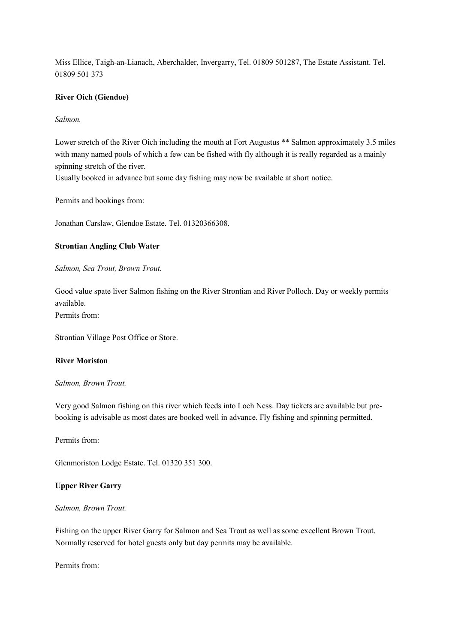Miss Ellice, Taigh-an-Lianach, Aberchalder, Invergarry, Tel. 01809 501287, The Estate Assistant. Tel. 01809 501 373

## **River Oich (Giendoe)**

## *Salmon.*

Lower stretch of the River Oich including the mouth at Fort Augustus \*\* Salmon approximately 3.5 miles with many named pools of which a few can be fished with fly although it is really regarded as a mainly spinning stretch of the river.

Usually booked in advance but some day fishing may now be available at short notice.

Permits and bookings from:

Jonathan Carslaw, Glendoe Estate. Tel. 01320366308.

## **Strontian Angling Club Water**

*Salmon, Sea Trout, Brown Trout.* 

Good value spate liver Salmon fishing on the River Strontian and River Polloch. Day or weekly permits available.

Permits from:

Strontian Village Post Office or Store.

## **River Moriston**

## *Salmon, Brown Trout.*

Very good Salmon fishing on this river which feeds into Loch Ness. Day tickets are available but prebooking is advisable as most dates are booked well in advance. Fly fishing and spinning permitted.

Permits from:

Glenmoriston Lodge Estate. Tel. 01320 351 300.

## **Upper River Garry**

## *Salmon, Brown Trout.*

Fishing on the upper River Garry for Salmon and Sea Trout as well as some excellent Brown Trout. Normally reserved for hotel guests only but day permits may be available.

Permits from: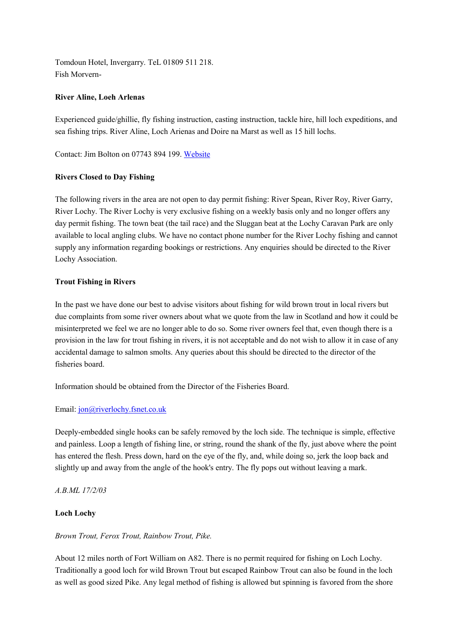Tomdoun Hotel, Invergarry. TeL 01809 511 218. Fish Morvern-

## **River Aline, Loeh Arlenas**

Experienced guide/ghillie, fly fishing instruction, casting instruction, tackle hire, hill loch expeditions, and sea fishing trips. River Aline, Loch Arienas and Doire na Marst as well as 15 hill lochs.

Contact: Jim Bolton on 07743 894 199. Website

## **Rivers Closed to Day Fishing**

The following rivers in the area are not open to day permit fishing: River Spean, River Roy, River Garry, River Lochy. The River Lochy is very exclusive fishing on a weekly basis only and no longer offers any day permit fishing. The town beat (the tail race) and the Sluggan beat at the Lochy Caravan Park are only available to local angling clubs. We have no contact phone number for the River Lochy fishing and cannot supply any information regarding bookings or restrictions. Any enquiries should be directed to the River Lochy Association.

## **Trout Fishing in Rivers**

In the past we have done our best to advise visitors about fishing for wild brown trout in local rivers but due complaints from some river owners about what we quote from the law in Scotland and how it could be misinterpreted we feel we are no longer able to do so. Some river owners feel that, even though there is a provision in the law for trout fishing in rivers, it is not acceptable and do not wish to allow it in case of any accidental damage to salmon smolts. Any queries about this should be directed to the director of the fisheries board.

Information should be obtained from the Director of the Fisheries Board.

## Email: jon@riverlochy.fsnet.co.uk

Deeply-embedded single hooks can be safely removed by the loch side. The technique is simple, effective and painless. Loop a length of fishing line, or string, round the shank of the fly, just above where the point has entered the flesh. Press down, hard on the eye of the fly, and, while doing so, jerk the loop back and slightly up and away from the angle of the hook's entry. The fly pops out without leaving a mark.

*A.B.ML 17/2/03* 

## **Loch Lochy**

## *Brown Trout, Ferox Trout, Rainbow Trout, Pike.*

About 12 miles north of Fort William on A82. There is no permit required for fishing on Loch Lochy. Traditionally a good loch for wild Brown Trout but escaped Rainbow Trout can also be found in the loch as well as good sized Pike. Any legal method of fishing is allowed but spinning is favored from the shore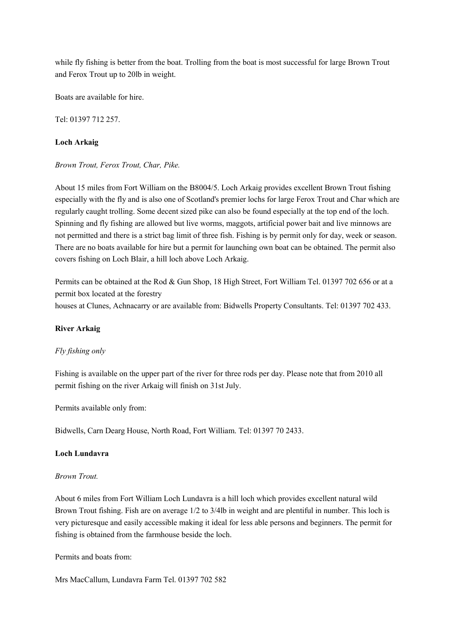while fly fishing is better from the boat. Trolling from the boat is most successful for large Brown Trout and Ferox Trout up to 20lb in weight.

Boats are available for hire.

Tel: 01397 712 257.

## **Loch Arkaig**

*Brown Trout, Ferox Trout, Char, Pike.* 

About 15 miles from Fort William on the B8004/5. Loch Arkaig provides excellent Brown Trout fishing especially with the fly and is also one of Scotland's premier lochs for large Ferox Trout and Char which are regularly caught trolling. Some decent sized pike can also be found especially at the top end of the loch. Spinning and fly fishing are allowed but live worms, maggots, artificial power bait and live minnows are not permitted and there is a strict bag limit of three fish. Fishing is by permit only for day, week or season. There are no boats available for hire but a permit for launching own boat can be obtained. The permit also covers fishing on Loch Blair, a hill loch above Loch Arkaig.

Permits can be obtained at the Rod & Gun Shop, 18 High Street, Fort William Tel. 01397 702 656 or at a permit box located at the forestry houses at Clunes, Achnacarry or are available from: Bidwells Property Consultants. Tel: 01397 702 433.

## **River Arkaig**

## *Fly fishing only*

Fishing is available on the upper part of the river for three rods per day. Please note that from 2010 all permit fishing on the river Arkaig will finish on 31st July.

Permits available only from:

Bidwells, Carn Dearg House, North Road, Fort William. Tel: 01397 70 2433.

## **Loch Lundavra**

## *Brown Trout.*

About 6 miles from Fort William Loch Lundavra is a hill loch which provides excellent natural wild Brown Trout fishing. Fish are on average 1/2 to 3/4lb in weight and are plentiful in number. This loch is very picturesque and easily accessible making it ideal for less able persons and beginners. The permit for fishing is obtained from the farmhouse beside the loch.

Permits and boats from:

Mrs MacCallum, Lundavra Farm Tel. 01397 702 582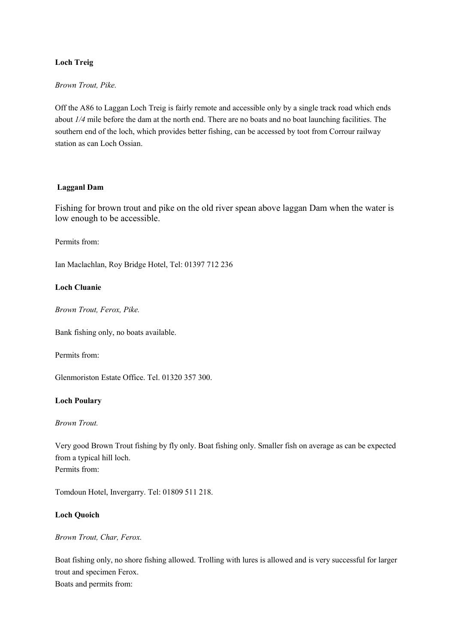## **Loch Treig**

#### *Brown Trout, Pike.*

Off the A86 to Laggan Loch Treig is fairly remote and accessible only by a single track road which ends about *1/4* mile before the dam at the north end. There are no boats and no boat launching facilities. The southern end of the loch, which provides better fishing, can be accessed by toot from Corrour railway station as can Loch Ossian.

#### **Lagganl Dam**

Fishing for brown trout and pike on the old river spean above laggan Dam when the water is low enough to be accessible.

Permits from:

Ian Maclachlan, Roy Bridge Hotel, Tel: 01397 712 236

#### **Loch Cluanie**

*Brown Trout, Ferox, Pike.* 

Bank fishing only, no boats available.

Permits from:

Glenmoriston Estate Office. Tel. 01320 357 300.

## **Loch Poulary**

*Brown Trout.* 

Very good Brown Trout fishing by fly only. Boat fishing only. Smaller fish on average as can be expected from a typical hill loch. Permits from:

Tomdoun Hotel, Invergarry. Tel: 01809 511 218.

#### **Loch Quoich**

*Brown Trout, Char, Ferox.* 

Boat fishing only, no shore fishing allowed. Trolling with lures is allowed and is very successful for larger trout and specimen Ferox. Boats and permits from: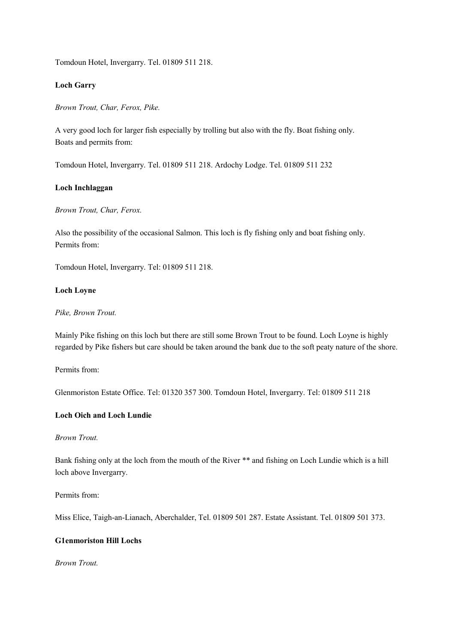Tomdoun Hotel, Invergarry. Tel. 01809 511 218.

### **Loch Garry**

*Brown Trout, Char, Ferox, Pike.* 

A very good loch for larger fish especially by trolling but also with the fly. Boat fishing only. Boats and permits from:

Tomdoun Hotel, Invergarry. Tel. 01809 511 218. Ardochy Lodge. Tel. 01809 511 232

## **Loch Inchlaggan**

*Brown Trout, Char, Ferox.* 

Also the possibility of the occasional Salmon. This loch is fly fishing only and boat fishing only. Permits from:

Tomdoun Hotel, Invergarry. Tel: 01809 511 218.

## **Loch Loyne**

#### *Pike, Brown Trout.*

Mainly Pike fishing on this loch but there are still some Brown Trout to be found. Loch Loyne is highly regarded by Pike fishers but care should be taken around the bank due to the soft peaty nature of the shore.

Permits from:

Glenmoriston Estate Office. Tel: 01320 357 300. Tomdoun Hotel, Invergarry. Tel: 01809 511 218

## **Loch Oich and Loch Lundie**

*Brown Trout.* 

Bank fishing only at the loch from the mouth of the River \*\* and fishing on Loch Lundie which is a hill loch above Invergarry.

Permits from:

Miss Elice, Taigh-an-Lianach, Aberchalder, Tel. 01809 501 287. Estate Assistant. Tel. 01809 501 373.

## **G1enmoriston Hill Lochs**

*Brown Trout.*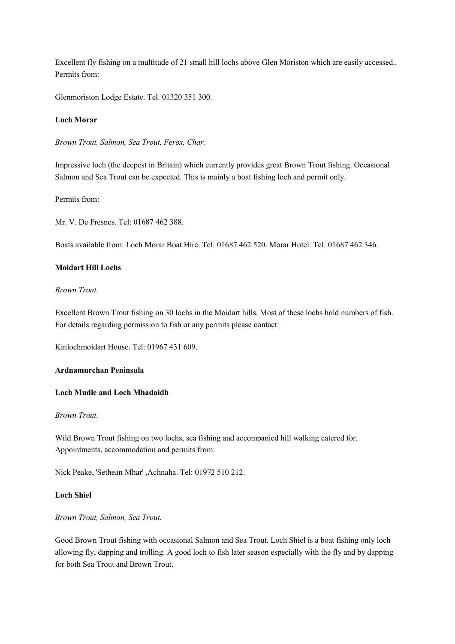Excellent fly fishing on a multitude of 21 small hill lochs above Glen Moriston which are easily accessed.. Permits from:

Glenmoriston Lodge Estate. Tel. 01320 351 300.

#### **Loch Morar**

*Brown Trout, Salmon, Sea Trout, Ferox, Char.* 

Impressive loch (the deepest in Britain) which currently provides great Brown Trout fishing. Occasional Salmon and Sea Trout can be expected. This is mainly a boat fishing loch and permit only.

Permits from:

Mr. V. De Fresnes. Tel: 01687 462 388.

Boats available from: Loch Morar Boat Hire. Tel: 01687 462 520. Morar Hotel. Tel: 01687 462 346.

#### **Moidart Hill Lochs**

## *Brown Trout.*

Excellent Brown Trout fishing on 30 lochs in the Moidart hills. Most of these lochs hold numbers of fish. For details regarding permission to fish or any permits please contact:

Kinlochmoidart House. Tel: 01967 431 609.

#### **Ardnamurchan Peninsula**

#### **Loch Mudle and Loch Mhadaidh**

## *Brown Trout.*

Wild Brown Trout fishing on two lochs, sea fishing and accompanied hill walking catered for. Appointments, accommodation and permits from:

Nick Peake, 'Sethean Mhar' ,Achnaha. Tel: 01972 510 212.

## **Loch Shiel**

*Brown Trout, Salmon, Sea Trout.* 

Good Brown Trout fishing with occasional Salmon and Sea Trout. Loch Shiel is a boat fishing only loch allowing fly, dapping and trolling. A good loch to fish later season especially with the fly and by dapping for both Sea Trout and Brown Trout.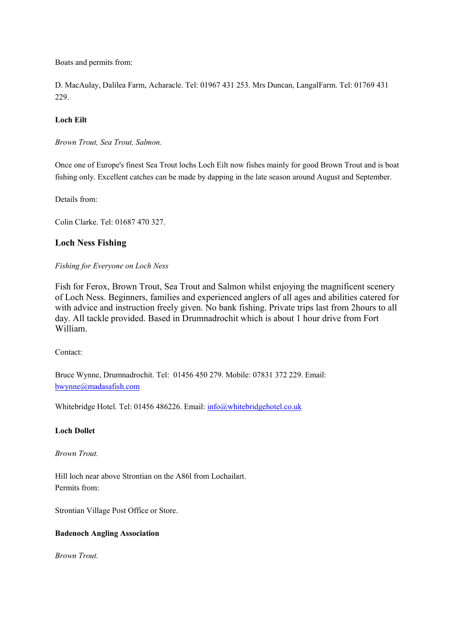Boats and permits from:

D. MacAulay, Dalilea Farm, Acharacle. Tel: 01967 431 253. Mrs Duncan, LangalFarm. Tel: 01769 431 229.

## **Loch Eilt**

*Brown Trout, Sea Trout, Salmon.* 

Once one of Europe's finest Sea Trout lochs Loch Eilt now fishes mainly for good Brown Trout and is boat fishing only. Excellent catches can be made by dapping in the late season around August and September.

Details from:

Colin Clarke. Tel: 01687 470 327.

## **Loch Ness Fishing**

## *Fishing for Everyone on Loch Ness*

Fish for Ferox, Brown Trout, Sea Trout and Salmon whilst enjoying the magnificent scenery of Loch Ness. Beginners, families and experienced anglers of all ages and abilities catered for with advice and instruction freely given. No bank fishing. Private trips last from 2hours to all day. All tackle provided. Based in Drumnadrochit which is about 1 hour drive from Fort William.

Contact:

Bruce Wynne, Drumnadrochit. Tel: 01456 450 279. Mobile: 07831 372 229. Email: bwynne@madasafish.com

Whitebridge Hotel. Tel: 01456 486226. Email: info@whitebridgehotel.co.uk

## **Loch Dollet**

*Brown Trout.* 

Hill loch near above Strontian on the A86l from Lochailart. Permits from:

Strontian Village Post Office or Store.

## **Badenoch Angling Association**

*Brown Trout.*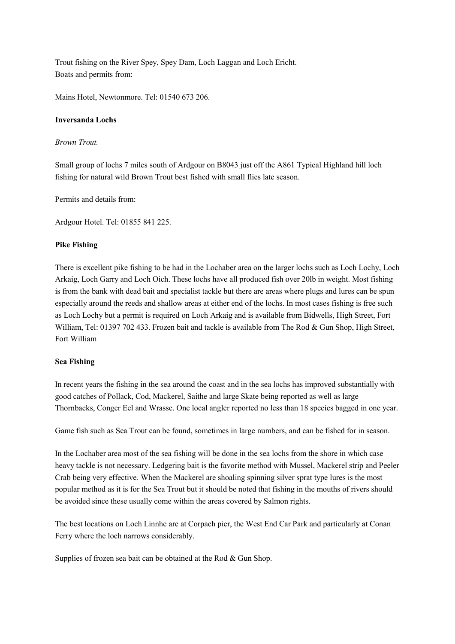Trout fishing on the River Spey, Spey Dam, Loch Laggan and Loch Ericht. Boats and permits from:

Mains Hotel, Newtonmore. Tel: 01540 673 206.

## **Inversanda Lochs**

## *Brown Trout.*

Small group of lochs 7 miles south of Ardgour on B8043 just off the A861 Typical Highland hill loch fishing for natural wild Brown Trout best fished with small flies late season.

Permits and details from:

Ardgour Hotel. Tel: 01855 841 225.

## **Pike Fishing**

There is excellent pike fishing to be had in the Lochaber area on the larger lochs such as Loch Lochy, Loch Arkaig, Loch Garry and Loch Oich. These lochs have all produced fish over 20lb in weight. Most fishing is from the bank with dead bait and specialist tackle but there are areas where plugs and lures can be spun especially around the reeds and shallow areas at either end of the lochs. In most cases fishing is free such as Loch Lochy but a permit is required on Loch Arkaig and is available from Bidwells, High Street, Fort William, Tel: 01397 702 433. Frozen bait and tackle is available from The Rod & Gun Shop, High Street, Fort William

## **Sea Fishing**

In recent years the fishing in the sea around the coast and in the sea lochs has improved substantially with good catches of Pollack, Cod, Mackerel, Saithe and large Skate being reported as well as large Thornbacks, Conger Eel and Wrasse. One local angler reported no less than 18 species bagged in one year.

Game fish such as Sea Trout can be found, sometimes in large numbers, and can be fished for in season.

In the Lochaber area most of the sea fishing will be done in the sea lochs from the shore in which case heavy tackle is not necessary. Ledgering bait is the favorite method with Mussel, Mackerel strip and Peeler Crab being very effective. When the Mackerel are shoaling spinning silver sprat type lures is the most popular method as it is for the Sea Trout but it should be noted that fishing in the mouths of rivers should be avoided since these usually come within the areas covered by Salmon rights.

The best locations on Loch Linnhe are at Corpach pier, the West End Car Park and particularly at Conan Ferry where the loch narrows considerably.

Supplies of frozen sea bait can be obtained at the Rod & Gun Shop.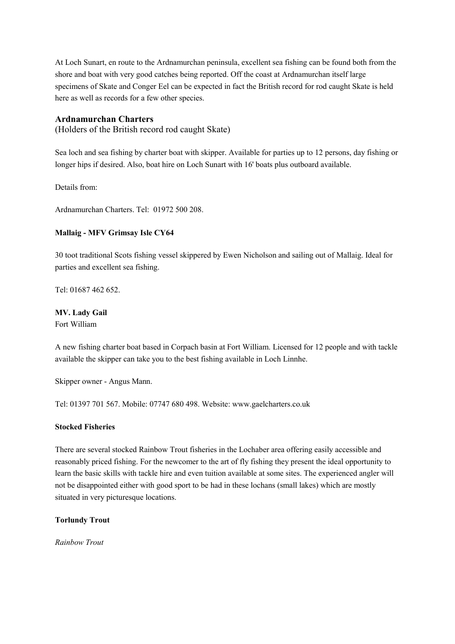At Loch Sunart, en route to the Ardnamurchan peninsula, excellent sea fishing can be found both from the shore and boat with very good catches being reported. Off the coast at Ardnamurchan itself large specimens of Skate and Conger Eel can be expected in fact the British record for rod caught Skate is held here as well as records for a few other species.

## **Ardnamurchan Charters**

(Holders of the British record rod caught Skate)

Sea loch and sea fishing by charter boat with skipper. Available for parties up to 12 persons, day fishing or longer hips if desired. Also, boat hire on Loch Sunart with 16' boats plus outboard available.

Details from:

Ardnamurchan Charters. Tel: 01972 500 208.

## **Mallaig - MFV Grimsay Isle CY64**

30 toot traditional Scots fishing vessel skippered by Ewen Nicholson and sailing out of Mallaig. Ideal for parties and excellent sea fishing.

Tel: 01687 462 652.

## **MV. Lady Gail**

Fort William

A new fishing charter boat based in Corpach basin at Fort William. Licensed for 12 people and with tackle available the skipper can take you to the best fishing available in Loch Linnhe.

Skipper owner - Angus Mann.

Tel: 01397 701 567. Mobile: 07747 680 498. Website: www.gaelcharters.co.uk

## **Stocked Fisheries**

There are several stocked Rainbow Trout fisheries in the Lochaber area offering easily accessible and reasonably priced fishing. For the newcomer to the art of fly fishing they present the ideal opportunity to learn the basic skills with tackle hire and even tuition available at some sites. The experienced angler will not be disappointed either with good sport to be had in these lochans (small lakes) which are mostly situated in very picturesque locations.

## **Torlundy Trout**

*Rainbow Trout*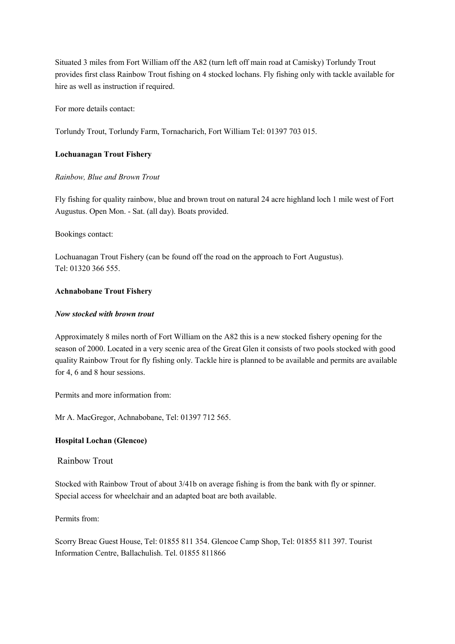Situated 3 miles from Fort William off the A82 (turn left off main road at Camisky) Torlundy Trout provides first class Rainbow Trout fishing on 4 stocked lochans. Fly fishing only with tackle available for hire as well as instruction if required.

For more details contact:

Torlundy Trout, Torlundy Farm, Tornacharich, Fort William Tel: 01397 703 015.

## **Lochuanagan Trout Fishery**

## *Rainbow, Blue and Brown Trout*

Fly fishing for quality rainbow, blue and brown trout on natural 24 acre highland loch 1 mile west of Fort Augustus. Open Mon. - Sat. (all day). Boats provided.

Bookings contact:

Lochuanagan Trout Fishery (can be found off the road on the approach to Fort Augustus). Tel: 01320 366 555.

## **Achnabobane Trout Fishery**

## *Now stocked with brown trout*

Approximately 8 miles north of Fort William on the A82 this is a new stocked fishery opening for the season of 2000. Located in a very scenic area of the Great Glen it consists of two pools stocked with good quality Rainbow Trout for fly fishing only. Tackle hire is planned to be available and permits are available for 4, 6 and 8 hour sessions.

Permits and more information from:

Mr A. MacGregor, Achnabobane, Tel: 01397 712 565.

## **Hospital Lochan (Glencoe)**

Rainbow Trout

Stocked with Rainbow Trout of about 3/41b on average fishing is from the bank with fly or spinner. Special access for wheelchair and an adapted boat are both available.

Permits from:

Scorry Breac Guest House, Tel: 01855 811 354. Glencoe Camp Shop, Tel: 01855 811 397. Tourist Information Centre, Ballachulish. Tel. 01855 811866